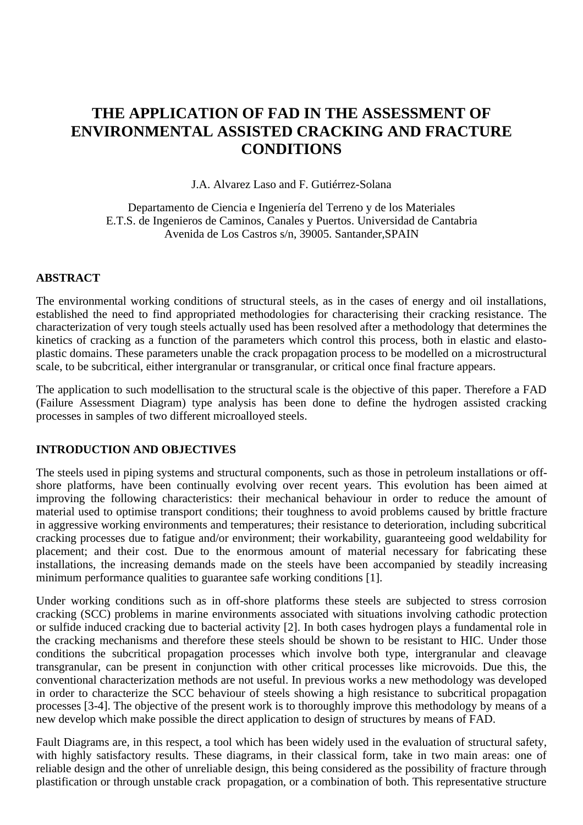# **THE APPLICATION OF FAD IN THE ASSESSMENT OF ENVIRONMENTAL ASSISTED CRACKING AND FRACTURE CONDITIONS**

J.A. Alvarez Laso and F. Gutiérrez-Solana

Departamento de Ciencia e Ingeniería del Terreno y de los Materiales E.T.S. de Ingenieros de Caminos, Canales y Puertos. Universidad de Cantabria Avenida de Los Castros s/n, 39005. Santander,SPAIN

#### **ABSTRACT**

The environmental working conditions of structural steels, as in the cases of energy and oil installations, established the need to find appropriated methodologies for characterising their cracking resistance. The characterization of very tough steels actually used has been resolved after a methodology that determines the kinetics of cracking as a function of the parameters which control this process, both in elastic and elastoplastic domains. These parameters unable the crack propagation process to be modelled on a microstructural scale, to be subcritical, either intergranular or transgranular, or critical once final fracture appears.

The application to such modellisation to the structural scale is the objective of this paper. Therefore a FAD (Failure Assessment Diagram) type analysis has been done to define the hydrogen assisted cracking processes in samples of two different microalloyed steels.

#### **INTRODUCTION AND OBJECTIVES**

The steels used in piping systems and structural components, such as those in petroleum installations or offshore platforms, have been continually evolving over recent years. This evolution has been aimed at improving the following characteristics: their mechanical behaviour in order to reduce the amount of material used to optimise transport conditions; their toughness to avoid problems caused by brittle fracture in aggressive working environments and temperatures; their resistance to deterioration, including subcritical cracking processes due to fatigue and/or environment; their workability, guaranteeing good weldability for placement; and their cost. Due to the enormous amount of material necessary for fabricating these installations, the increasing demands made on the steels have been accompanied by steadily increasing minimum performance qualities to guarantee safe working conditions [1].

Under working conditions such as in off-shore platforms these steels are subjected to stress corrosion cracking (SCC) problems in marine environments associated with situations involving cathodic protection or sulfide induced cracking due to bacterial activity [2]. In both cases hydrogen plays a fundamental role in the cracking mechanisms and therefore these steels should be shown to be resistant to HIC. Under those conditions the subcritical propagation processes which involve both type, intergranular and cleavage transgranular, can be present in conjunction with other critical processes like microvoids. Due this, the conventional characterization methods are not useful. In previous works a new methodology was developed in order to characterize the SCC behaviour of steels showing a high resistance to subcritical propagation processes [3-4]. The objective of the present work is to thoroughly improve this methodology by means of a new develop which make possible the direct application to design of structures by means of FAD.

Fault Diagrams are, in this respect, a tool which has been widely used in the evaluation of structural safety, with highly satisfactory results. These diagrams, in their classical form, take in two main areas: one of reliable design and the other of unreliable design, this being considered as the possibility of fracture through plastification or through unstable crack propagation, or a combination of both. This representative structure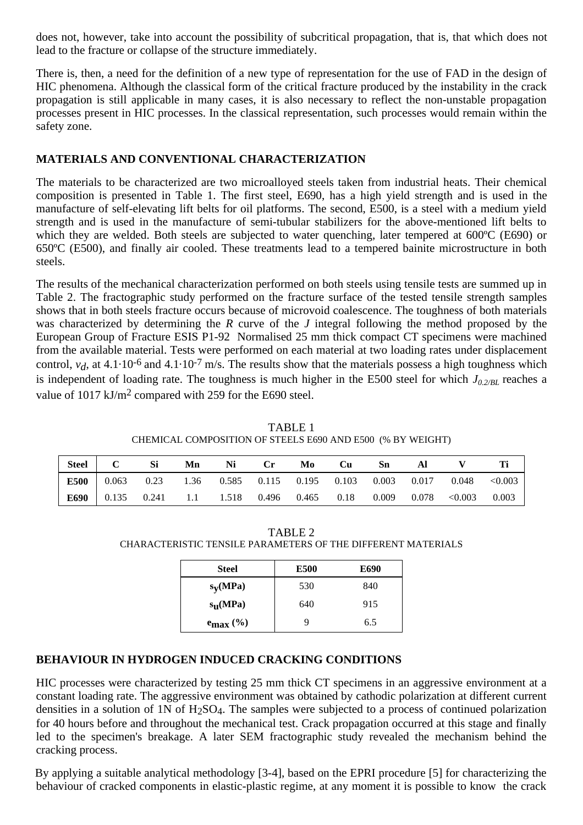does not, however, take into account the possibility of subcritical propagation, that is, that which does not lead to the fracture or collapse of the structure immediately.

There is, then, a need for the definition of a new type of representation for the use of FAD in the design of HIC phenomena. Although the classical form of the critical fracture produced by the instability in the crack propagation is still applicable in many cases, it is also necessary to reflect the non-unstable propagation processes present in HIC processes. In the classical representation, such processes would remain within the safety zone.

# **MATERIALS AND CONVENTIONAL CHARACTERIZATION**

The materials to be characterized are two microalloyed steels taken from industrial heats. Their chemical composition is presented in Table 1. The first steel, E690, has a high yield strength and is used in the manufacture of self-elevating lift belts for oil platforms. The second, E500, is a steel with a medium yield strength and is used in the manufacture of semi-tubular stabilizers for the above-mentioned lift belts to which they are welded. Both steels are subjected to water quenching, later tempered at 600ºC (E690) or 650ºC (E500), and finally air cooled. These treatments lead to a tempered bainite microstructure in both steels.

The results of the mechanical characterization performed on both steels using tensile tests are summed up in Table 2. The fractographic study performed on the fracture surface of the tested tensile strength samples shows that in both steels fracture occurs because of microvoid coalescence. The toughness of both materials was characterized by determining the *R* curve of the *J* integral following the method proposed by the European Group of Fracture ESIS P1-92 Normalised 25 mm thick compact CT specimens were machined from the available material. Tests were performed on each material at two loading rates under displacement control,  $v_d$ , at 4.1.10<sup>-6</sup> and 4.1.10<sup>-7</sup> m/s. The results show that the materials possess a high toughness which is independent of loading rate. The toughness is much higher in the E500 steel for which  $J_{0.2/BL}$  reaches a value of 1017 kJ/m2 compared with 259 for the E690 steel.

TABLE 1 CHEMICAL COMPOSITION OF STEELS E690 AND E500 (% BY WEIGHT)

| Steel   C | — Si                                                                   | Mn | <b>Ni</b> | – Cr | Mo Cu | – Sn | AI |                                                                                 |       |
|-----------|------------------------------------------------------------------------|----|-----------|------|-------|------|----|---------------------------------------------------------------------------------|-------|
|           |                                                                        |    |           |      |       |      |    | <b>E500</b>   0.063 0.23 1.36 0.585 0.115 0.195 0.103 0.003 0.017 0.048 < 0.003 |       |
|           | <b>E690</b> 0.135 0.241 1.1 1.518 0.496 0.465 0.18 0.009 0.078 < 0.003 |    |           |      |       |      |    |                                                                                 | 0.003 |

| TABLE 2                                                      |
|--------------------------------------------------------------|
| CHARACTERISTIC TENSILE PARAMETERS OF THE DIFFERENT MATERIALS |

| Steel                 | <b>E500</b> | <b>E690</b> |  |  |
|-----------------------|-------------|-------------|--|--|
| $s_y(MPa)$            | 530         | 840         |  |  |
| $s_{\mathbf{u}}(MPa)$ | 640         | 915         |  |  |
| $e_{\text{max}}$ (%)  | Q           | 6.5         |  |  |

# **BEHAVIOUR IN HYDROGEN INDUCED CRACKING CONDITIONS**

HIC processes were characterized by testing 25 mm thick CT specimens in an aggressive environment at a constant loading rate. The aggressive environment was obtained by cathodic polarization at different current densities in a solution of 1N of  $H_2SO_4$ . The samples were subjected to a process of continued polarization for 40 hours before and throughout the mechanical test. Crack propagation occurred at this stage and finally led to the specimen's breakage. A later SEM fractographic study revealed the mechanism behind the cracking process.

By applying a suitable analytical methodology [3-4], based on the EPRI procedure [5] for characterizing the behaviour of cracked components in elastic-plastic regime, at any moment it is possible to know the crack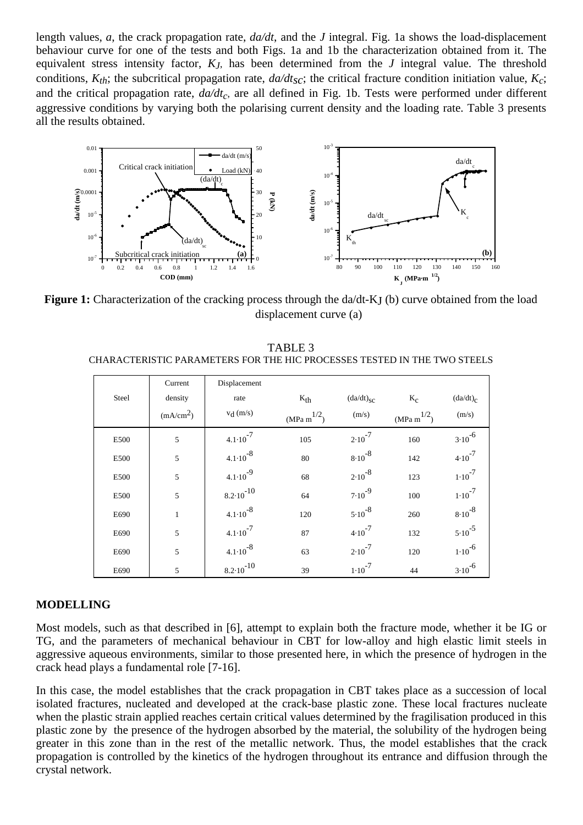length values, *a*, the crack propagation rate, *da/dt*, and the *J* integral. Fig. 1a shows the load-displacement behaviour curve for one of the tests and both Figs. 1a and 1b the characterization obtained from it. The equivalent stress intensity factor, *KJ*, has been determined from the *J* integral value. The threshold conditions,  $K_{th}$ ; the subcritical propagation rate,  $da/dt_{sc}$ ; the critical fracture condition initiation value,  $K_c$ ; and the critical propagation rate,  $da/dt_c$ , are all defined in Fig. 1b. Tests were performed under different aggressive conditions by varying both the polarising current density and the loading rate. Table 3 presents all the results obtained.



**Figure 1:** Characterization of the cracking process through the da/dt-KJ (b) curve obtained from the load displacement curve (a)

|       | Current               | Displacement         |                    |                   |                         |             |
|-------|-----------------------|----------------------|--------------------|-------------------|-------------------------|-------------|
| Steel | density               | rate                 | $K_{th}$           | $(da/dt)_{SC}$    | $K_C$                   | $(da/dt)_C$ |
|       | (mA/cm <sup>2</sup> ) | $v_d$ (m/s)          | $(MPa \; m^{1/2})$ | (m/s)             | $(MPa \text{ m}^{1/2})$ | (m/s)       |
| E500  | 5                     | $4.1 \cdot 10^{-7}$  | 105                | $2.10^{-7}$       | 160                     | $3.10^{-6}$ |
| E500  | 5                     | $4.1 \cdot 10^{-8}$  | 80                 | $8.10^{-8}$       | 142                     | $4.10^{-7}$ |
| E500  | 5                     | $4.1 \cdot 10^{-9}$  | 68                 | $2.10^{-8}$       | 123                     | $1.10^{-7}$ |
| E500  | 5                     | $8.2 \cdot 10^{-10}$ | 64                 | $7.10^{-9}$       | 100                     | $1.10^{-7}$ |
| E690  | $\mathbf{1}$          | $4.1 \cdot 10^{-8}$  | 120                | $5 \cdot 10^{-8}$ | 260                     | $8.10^{-8}$ |
| E690  | 5                     | $4.1 \cdot 10^{-7}$  | 87                 | $4.10^{-7}$       | 132                     | $5.10^{-5}$ |
| E690  | 5                     | $4.1 \cdot 10^{-8}$  | 63                 | $2.10^{-7}$       | 120                     | $1.10^{-6}$ |
| E690  | 5                     | $8.2 \cdot 10^{-10}$ | 39                 | $1.10^{-7}$       | 44                      | $3.10^{-6}$ |

TABLE 3 CHARACTERISTIC PARAMETERS FOR THE HIC PROCESSES TESTED IN THE TWO STEELS

#### **MODELLING**

Most models, such as that described in [6], attempt to explain both the fracture mode, whether it be IG or TG, and the parameters of mechanical behaviour in CBT for low-alloy and high elastic limit steels in aggressive aqueous environments, similar to those presented here, in which the presence of hydrogen in the crack head plays a fundamental role [7-16].

In this case, the model establishes that the crack propagation in CBT takes place as a succession of local isolated fractures, nucleated and developed at the crack-base plastic zone. These local fractures nucleate when the plastic strain applied reaches certain critical values determined by the fragilisation produced in this plastic zone by the presence of the hydrogen absorbed by the material, the solubility of the hydrogen being greater in this zone than in the rest of the metallic network. Thus, the model establishes that the crack propagation is controlled by the kinetics of the hydrogen throughout its entrance and diffusion through the crystal network.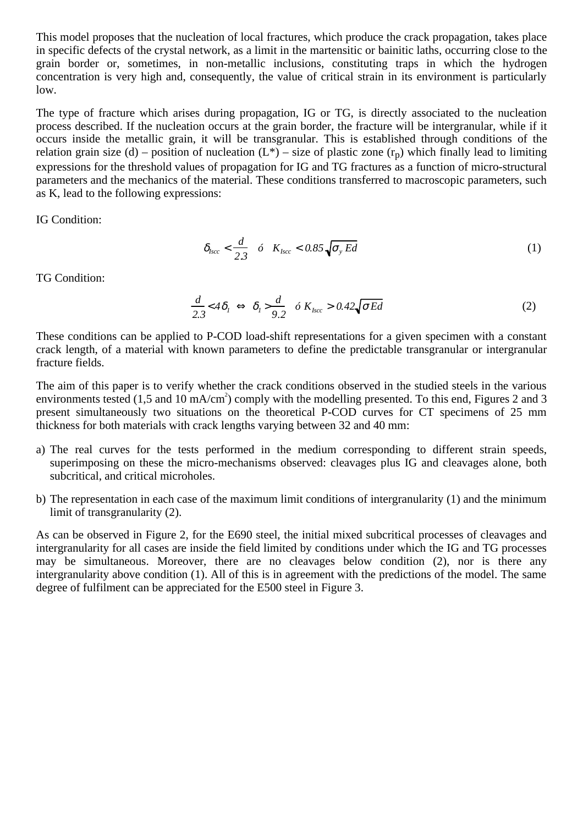This model proposes that the nucleation of local fractures, which produce the crack propagation, takes place in specific defects of the crystal network, as a limit in the martensitic or bainitic laths, occurring close to the grain border or, sometimes, in non-metallic inclusions, constituting traps in which the hydrogen concentration is very high and, consequently, the value of critical strain in its environment is particularly low.

The type of fracture which arises during propagation, IG or TG, is directly associated to the nucleation process described. If the nucleation occurs at the grain border, the fracture will be intergranular, while if it occurs inside the metallic grain, it will be transgranular. This is established through conditions of the relation grain size (d) – position of nucleation  $(L^*)$  – size of plastic zone  $(r_p)$  which finally lead to limiting expressions for the threshold values of propagation for IG and TG fractures as a function of micro-structural parameters and the mechanics of the material. These conditions transferred to macroscopic parameters, such as K, lead to the following expressions:

IG Condition:

$$
\delta_{lscc} < \frac{d}{2.3} \quad \delta \quad K_{lscc} < 0.85 \sqrt{\sigma_y Ed} \tag{1}
$$

TG Condition:

$$
\frac{d}{2.3} < 4\delta_1 \iff \delta_1 > \frac{d}{9.2} \quad \delta \ K_{lsc} > 0.42 \sqrt{\sigma Ed} \tag{2}
$$

These conditions can be applied to P-COD load-shift representations for a given specimen with a constant crack length, of a material with known parameters to define the predictable transgranular or intergranular fracture fields.

The aim of this paper is to verify whether the crack conditions observed in the studied steels in the various environments tested (1,5 and 10 mA/cm<sup>2</sup>) comply with the modelling presented. To this end, Figures 2 and 3 present simultaneously two situations on the theoretical P-COD curves for CT specimens of 25 mm thickness for both materials with crack lengths varying between 32 and 40 mm:

- a) The real curves for the tests performed in the medium corresponding to different strain speeds, superimposing on these the micro-mechanisms observed: cleavages plus IG and cleavages alone, both subcritical, and critical microholes.
- b) The representation in each case of the maximum limit conditions of intergranularity (1) and the minimum limit of transgranularity (2).

As can be observed in Figure 2, for the E690 steel, the initial mixed subcritical processes of cleavages and intergranularity for all cases are inside the field limited by conditions under which the IG and TG processes may be simultaneous. Moreover, there are no cleavages below condition (2), nor is there any intergranularity above condition (1). All of this is in agreement with the predictions of the model. The same degree of fulfilment can be appreciated for the E500 steel in Figure 3.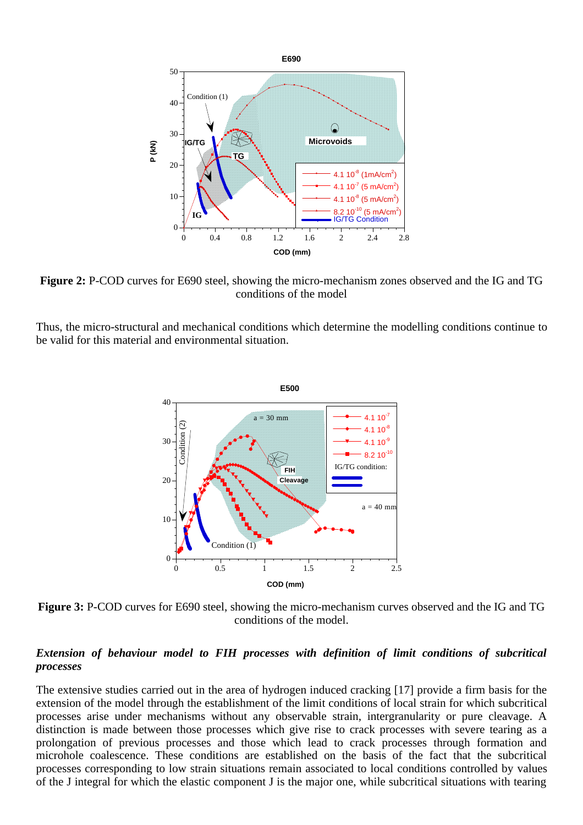

**Figure 2:** P-COD curves for E690 steel, showing the micro-mechanism zones observed and the IG and TG conditions of the model

Thus, the micro-structural and mechanical conditions which determine the modelling conditions continue to be valid for this material and environmental situation.



**Figure 3:** P-COD curves for E690 steel, showing the micro-mechanism curves observed and the IG and TG conditions of the model.

#### *Extension of behaviour model to FIH processes with definition of limit conditions of subcritical processes*

The extensive studies carried out in the area of hydrogen induced cracking [17] provide a firm basis for the extension of the model through the establishment of the limit conditions of local strain for which subcritical processes arise under mechanisms without any observable strain, intergranularity or pure cleavage. A distinction is made between those processes which give rise to crack processes with severe tearing as a prolongation of previous processes and those which lead to crack processes through formation and microhole coalescence. These conditions are established on the basis of the fact that the subcritical processes corresponding to low strain situations remain associated to local conditions controlled by values of the J integral for which the elastic component J is the major one, while subcritical situations with tearing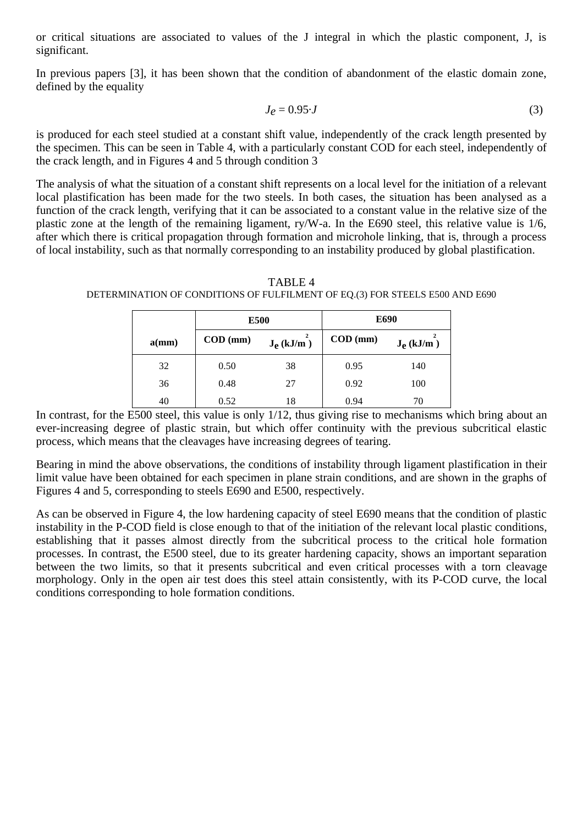or critical situations are associated to values of the J integral in which the plastic component, J, is significant.

In previous papers [3], it has been shown that the condition of abandonment of the elastic domain zone, defined by the equality

$$
J_e = 0.95 \cdot J \tag{3}
$$

is produced for each steel studied at a constant shift value, independently of the crack length presented by the specimen. This can be seen in Table 4, with a particularly constant COD for each steel, independently of the crack length, and in Figures 4 and 5 through condition 3

The analysis of what the situation of a constant shift represents on a local level for the initiation of a relevant local plastification has been made for the two steels. In both cases, the situation has been analysed as a function of the crack length, verifying that it can be associated to a constant value in the relative size of the plastic zone at the length of the remaining ligament, ry/W-a. In the E690 steel, this relative value is 1/6, after which there is critical propagation through formation and microhole linking, that is, through a process of local instability, such as that normally corresponding to an instability produced by global plastification.

**E500 E690**  $\mathbf{a}(\text{mm})$  **COD** (mm)  $\mathbf{J}_{\text{e}}$  (kJ/m<sup>2</sup>) **) COD (mm) Je (kJ/m2**  $J_e$  (kJ/m) 32 0.50 38 0.95 140

TABLE 4 DETERMINATION OF CONDITIONS OF FULFILMENT OF EQ.(3) FOR STEELS E500 AND E690

In contrast, for the E500 steel, this value is only 1/12, thus giving rise to mechanisms which bring about an ever-increasing degree of plastic strain, but which offer continuity with the previous subcritical elastic process, which means that the cleavages have increasing degrees of tearing.

36 0.48 27 0.92 100 40 | 0.52 18 | 0.94 70

Bearing in mind the above observations, the conditions of instability through ligament plastification in their limit value have been obtained for each specimen in plane strain conditions, and are shown in the graphs of Figures 4 and 5, corresponding to steels E690 and E500, respectively.

As can be observed in Figure 4, the low hardening capacity of steel E690 means that the condition of plastic instability in the P-COD field is close enough to that of the initiation of the relevant local plastic conditions, establishing that it passes almost directly from the subcritical process to the critical hole formation processes. In contrast, the E500 steel, due to its greater hardening capacity, shows an important separation between the two limits, so that it presents subcritical and even critical processes with a torn cleavage morphology. Only in the open air test does this steel attain consistently, with its P-COD curve, the local conditions corresponding to hole formation conditions.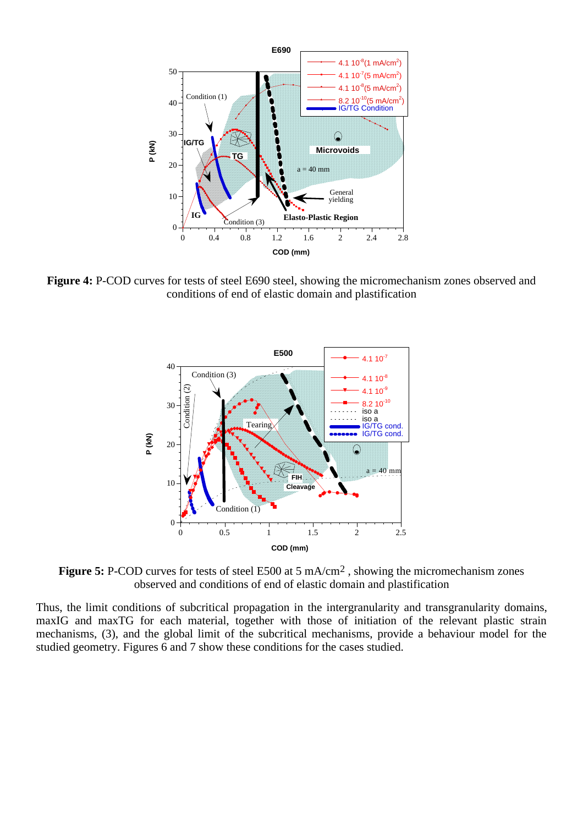

**Figure 4:** P-COD curves for tests of steel E690 steel, showing the micromechanism zones observed and conditions of end of elastic domain and plastification



**Figure 5:** P-COD curves for tests of steel E500 at 5 mA/cm<sup>2</sup>, showing the micromechanism zones observed and conditions of end of elastic domain and plastification

Thus, the limit conditions of subcritical propagation in the intergranularity and transgranularity domains, maxIG and maxTG for each material, together with those of initiation of the relevant plastic strain mechanisms, (3), and the global limit of the subcritical mechanisms, provide a behaviour model for the studied geometry. Figures 6 and 7 show these conditions for the cases studied.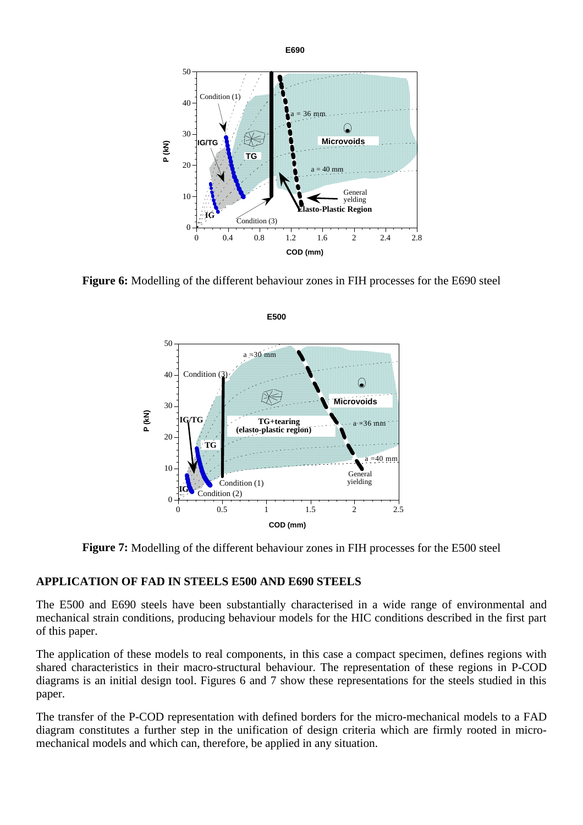

**Figure 6:** Modelling of the different behaviour zones in FIH processes for the E690 steel



**Figure 7:** Modelling of the different behaviour zones in FIH processes for the E500 steel

#### **APPLICATION OF FAD IN STEELS E500 AND E690 STEELS**

The E500 and E690 steels have been substantially characterised in a wide range of environmental and mechanical strain conditions, producing behaviour models for the HIC conditions described in the first part of this paper.

The application of these models to real components, in this case a compact specimen, defines regions with shared characteristics in their macro-structural behaviour. The representation of these regions in P-COD diagrams is an initial design tool. Figures 6 and 7 show these representations for the steels studied in this paper.

The transfer of the P-COD representation with defined borders for the micro-mechanical models to a FAD diagram constitutes a further step in the unification of design criteria which are firmly rooted in micromechanical models and which can, therefore, be applied in any situation.

**E500**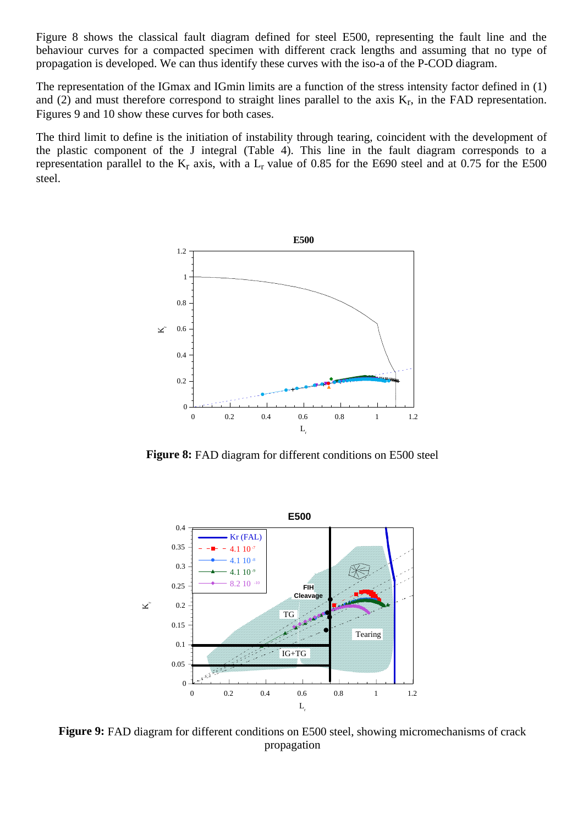Figure 8 shows the classical fault diagram defined for steel E500, representing the fault line and the behaviour curves for a compacted specimen with different crack lengths and assuming that no type of propagation is developed. We can thus identify these curves with the iso-a of the P-COD diagram.

The representation of the IGmax and IGmin limits are a function of the stress intensity factor defined in (1) and (2) and must therefore correspond to straight lines parallel to the axis  $K_r$ , in the FAD representation. Figures 9 and 10 show these curves for both cases.

The third limit to define is the initiation of instability through tearing, coincident with the development of the plastic component of the J integral (Table 4). This line in the fault diagram corresponds to a representation parallel to the  $K_r$  axis, with a  $L_r$  value of 0.85 for the E690 steel and at 0.75 for the E500 steel.



**Figure 8:** FAD diagram for different conditions on E500 steel



**Figure 9:** FAD diagram for different conditions on E500 steel, showing micromechanisms of crack propagation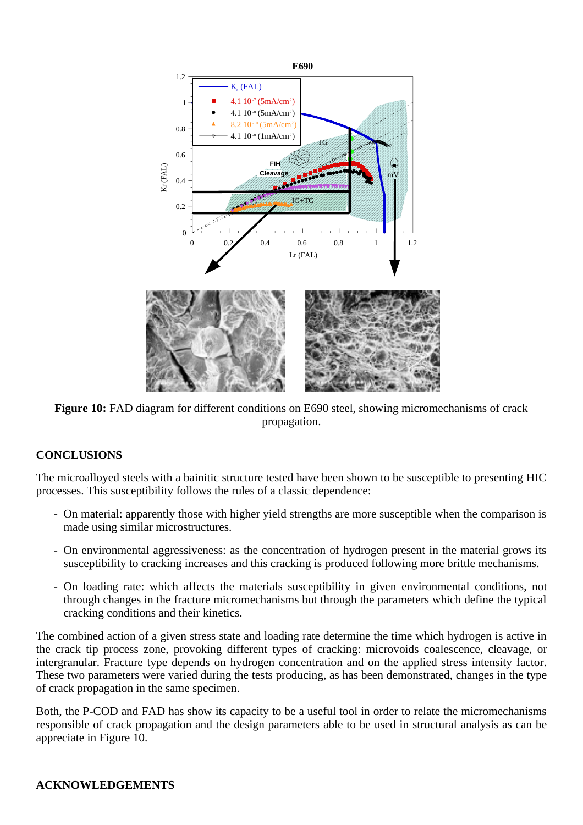

**Figure 10:** FAD diagram for different conditions on E690 steel, showing micromechanisms of crack propagation.

# **CONCLUSIONS**

The microalloyed steels with a bainitic structure tested have been shown to be susceptible to presenting HIC processes. This susceptibility follows the rules of a classic dependence:

- On material: apparently those with higher yield strengths are more susceptible when the comparison is made using similar microstructures.
- On environmental aggressiveness: as the concentration of hydrogen present in the material grows its susceptibility to cracking increases and this cracking is produced following more brittle mechanisms.
- On loading rate: which affects the materials susceptibility in given environmental conditions, not through changes in the fracture micromechanisms but through the parameters which define the typical cracking conditions and their kinetics.

The combined action of a given stress state and loading rate determine the time which hydrogen is active in the crack tip process zone, provoking different types of cracking: microvoids coalescence, cleavage, or intergranular. Fracture type depends on hydrogen concentration and on the applied stress intensity factor. These two parameters were varied during the tests producing, as has been demonstrated, changes in the type of crack propagation in the same specimen.

Both, the P-COD and FAD has show its capacity to be a useful tool in order to relate the micromechanisms responsible of crack propagation and the design parameters able to be used in structural analysis as can be appreciate in Figure 10.

# **ACKNOWLEDGEMENTS**